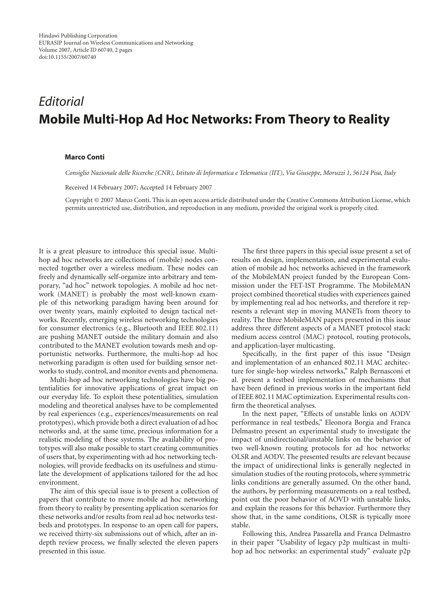Hindawi Publishing Corporation EURASIP Journal on Wireless Communications and Networking Volume 2007, Article ID 60740, [2](#page-1-0) pages doi:10.1155/2007/60740

## *Editorial* **Mobile Multi-Hop Ad Hoc Networks: From Theory to Reality**

## **Marco Conti**

*Consiglio Nazionale delle Ricerche (CNR), Istituto di Informatica e Telematica (IIT), Via Giuseppe, Moruzzi 1, 56124 Pisa, Italy*

Received 14 February 2007; Accepted 14 February 2007

Copyright © 2007 Marco Conti. This is an open access article distributed under the Creative Commons Attribution License, which permits unrestricted use, distribution, and reproduction in any medium, provided the original work is properly cited.

It is a great pleasure to introduce this special issue. Multihop ad hoc networks are collections of (mobile) nodes connected together over a wireless medium. These nodes can freely and dynamically self-organize into arbitrary and temporary, "ad hoc" network topologies. A mobile ad hoc network (MANET) is probably the most well-known example of this networking paradigm having been around for over twenty years, mainly exploited to design tactical networks. Recently, emerging wireless networking technologies for consumer electronics (e.g., Bluetooth and IEEE 802.11) are pushing MANET outside the military domain and also contributed to the MANET evolution towards mesh and opportunistic networks. Furthermore, the multi-hop ad hoc networking paradigm is often used for building sensor networks to study, control, and monitor events and phenomena.

Multi-hop ad hoc networking technologies have big potentialities for innovative applications of great impact on our everyday life. To exploit these potentialities, simulation modeling and theoretical analyses have to be complemented by real experiences (e.g., experiences/measurements on real prototypes), which provide both a direct evaluation of ad hoc networks and, at the same time, precious information for a realistic modeling of these systems. The availability of prototypes will also make possible to start creating communities of users that, by experimenting with ad hoc networking technologies, will provide feedbacks on its usefulness and stimulate the development of applications tailored for the ad hoc environment.

The aim of this special issue is to present a collection of papers that contribute to move mobile ad hoc networking from theory to reality by presenting application scenarios for these networks and/or results from real ad hoc networks testbeds and prototypes. In response to an open call for papers, we received thirty-six submissions out of which, after an indepth review process, we finally selected the eleven papers presented in this issue.

The first three papers in this special issue present a set of results on design, implementation, and experimental evaluation of mobile ad hoc networks achieved in the framework of the MobileMAN project funded by the European Commission under the FET-IST Programme. The MobileMAN project combined theoretical studies with experiences gained by implementing real ad hoc networks, and therefore it represents a relevant step in moving MANETs from theory to reality. The three MobileMAN papers presented in this issue address three different aspects of a MANET protocol stack: medium access control (MAC) protocol, routing protocols, and application-layer multicasting.

Specifically, in the first paper of this issue "Design and implementation of an enhanced 802.11 MAC architecture for single-hop wireless networks," Ralph Bernasconi et al. present a testbed implementation of mechanisms that have been defined in previous works in the important field of IEEE 802.11 MAC optimization. Experimental results confirm the theoretical analyses.

In the next paper, "Effects of unstable links on AODV performance in real testbeds," Eleonora Borgia and Franca Delmastro present an experimental study to investigate the impact of unidirectional/unstable links on the behavior of two well-known routing protocols for ad hoc networks: OLSR and AODV. The presented results are relevant because the impact of unidirectional links is generally neglected in simulation studies of the routing protocols, where symmetric links conditions are generally assumed. On the other hand, the authors, by performing measurements on a real testbed, point out the poor behavior of AOVD with unstable links, and explain the reasons for this behavior. Furthermore they show that, in the same conditions, OLSR is typically more stable.

Following this, Andrea Passarella and Franca Delmastro in their paper "Usability of legacy p2p multicast in multihop ad hoc networks: an experimental study" evaluate p2p